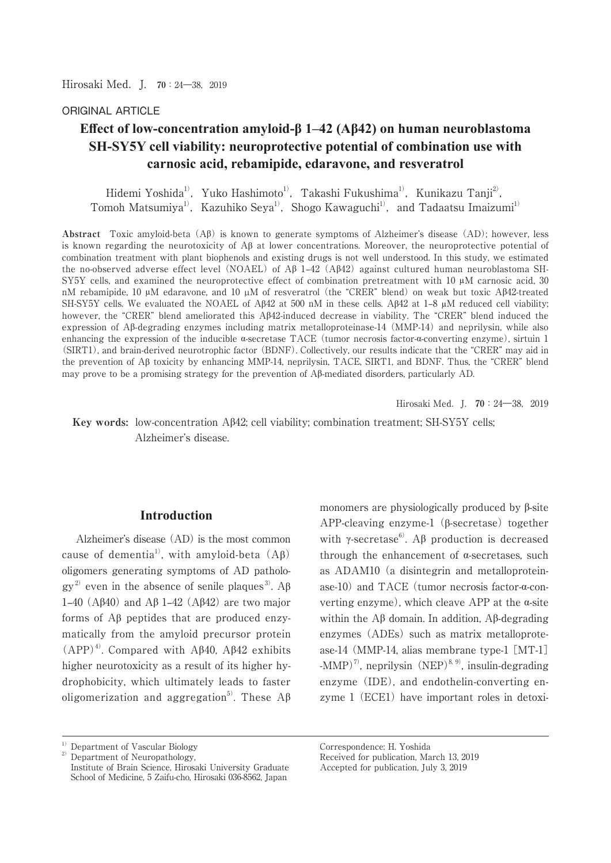Hirosaki Med.J. **70**:24―38,2019

### ORIGINAL ARTICLE

# **Effect of low-concentration amyloid-β 1–42 (Aβ42) on human neuroblastoma 6H-SY5Y cell viability: neuroprotective potential of combination use with** carnosic acid, rebamipide, edaravone, and resveratrol

Hidemi Yoshida<sup>1)</sup>, Yuko Hashimoto<sup>1)</sup>, Takashi Fukushima<sup>1)</sup>, Kunikazu Tanji<sup>2)</sup>, Tomoh Matsumiya<sup>1)</sup>, Kazuhiko Seya<sup>1)</sup>, Shogo Kawaguchi<sup>1)</sup>, and Tadaatsu Imaizumi<sup>1)</sup>

**Abstract** Toxic amyloid-beta (Aȕ) is known to generate symptoms of Alzheimer's disease (AD); however, less is known regarding the neurotoxicity of  $\Lambda\beta$  at lower concentrations. Moreover, the neuroprotective potential of combination treatment with plant biophenols and existing drugs is not well understood. In this study, we estimated the no-observed adverse effect level (NOAEL) of A $\beta$  1–42 (A $\beta$ 42) against cultured human neuroblastoma SH-SY5Y cells, and examined the neuroprotective effect of combination pretreatment with 10 μM carnosic acid, 30 nM rebamipide, 10 μM edaravone, and 10 μM of resveratrol (the "CRER" blend) on weak but toxic Aβ42-treated SH-SY5Y cells. We evaluated the NOAEL of A $\beta$ 42 at 500 nM in these cells. A $\beta$ 42 at 1–8  $\mu$ M reduced cell viability; however, the "CRER" blend ameliorated this  $A\beta 42$ -induced decrease in viability. The "CRER" blend induced the expression of  $\beta$ -degrading enzymes including matrix metalloproteinase-14 (MMP-14) and neprilysin, while also enhancing the expression of the inducible  $\alpha$ -secretase TACE (tumor necrosis factor- $\alpha$ -converting enzyme), sirtuin 1 (SIRT1), and brain-derived neurotrophic factor (BDNF). Collectively, our results indicate that the "CRER" may aid in the prevention of  $\mathcal{A}\beta$  toxicity by enhancing MMP-14, neprilysin, TACE, SIRT1, and BDNF. Thus, the "CRER" blend may prove to be a promising strategy for the prevention of  $A\beta$ -mediated disorders, particularly AD.

Hirosaki Med. J. **70**: 24—38, 2019

Key words: low-concentration A $\beta$ 42; cell viability; combination treatment; SH-SY5Y cells; Alzheimer's disease.

#### **Introduction**

 Alzheimer's disease (AD) is the most common cause of dementia<sup>1</sup>, with amyloid-beta  $(A\beta)$ oligomers generating symptoms of AD patholo $gy^{2}$  even in the absence of senile plaques<sup>3</sup>. A<sub>β</sub> 1–40 (A $\beta$ 40) and A $\beta$  1–42 (A $\beta$ 42) are two major forms of  $\Lambda\beta$  peptides that are produced enzymatically from the amyloid precursor protein  $(APP)^4$ . Compared with A $\beta$ 40, A $\beta$ 42 exhibits higher neurotoxicity as a result of its higher hydrophobicity, which ultimately leads to faster oligomerization and aggregation<sup>5)</sup>. These  $A\beta$  monomers are physiologically produced by  $\beta$ -site APP-cleaving enzyme-1  $(\beta$ -secretase) together with  $\gamma$ -secretase<sup>6</sup>. A $\beta$  production is decreased through the enhancement of  $\alpha$ -secretases, such as ADAM10 (a disintegrin and metalloproteinase-10) and TACE (tumor necrosis factor- $\alpha$ -converting enzyme), which cleave APP at the  $\alpha$ -site within the  $\Lambda\beta$  domain. In addition,  $\Lambda\beta$ -degrading enzymes (ADEs) such as matrix metalloprotease-14 (MMP-14, alias membrane type-1 [MT-1]  $-MMP$ <sup>7)</sup>, neprilysin (NEP)<sup>8, 9)</sup>, insulin-degrading enzyme (IDE), and endothelin-converting enzyme 1 (ECE1) have important roles in detoxi-

 $1)$  Department of Vascular Biology

<sup>2)</sup> Department of Neuropathology, Institute of Brain Science, Hirosaki University Graduate School of Medicine, 5 Zaifu-cho, Hirosaki 036-8562, Japan

Correspondence: H. Yoshida

Received for publication, March 13, 2019

Accepted for publication, July 3, 2019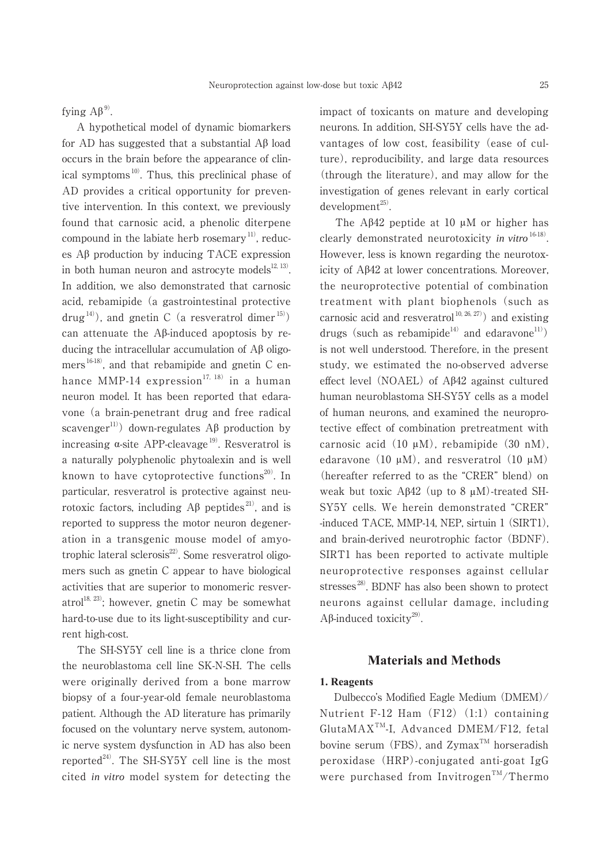fying  $A\beta^{9}$ .

 A hypothetical model of dynamic biomarkers for AD has suggested that a substantial  $\overrightarrow{AB}$  load occurs in the brain before the appearance of clinical symptoms $^{10}$ . Thus, this preclinical phase of AD provides a critical opportunity for preventive intervention. In this context, we previously found that carnosic acid, a phenolic diterpene compound in the labiate herb rosemary<sup> $11$ </sup>, reduces  $\overrightarrow{AB}$  production by inducing TACE expression in both human neuron and astrocyte models $^{12, 13)}$ . In addition, we also demonstrated that carnosic acid, rebamipide (a gastrointestinal protective drug<sup>14)</sup>), and gnetin C (a resveratrol dimer<sup>15)</sup>) can attenuate the Aß-induced apoptosis by reducing the intracellular accumulation of  $A\beta$  oligomers 16-18), and that rebamipide and gnetin C enhance MMP-14 expression<sup>17, 18)</sup> in a human neuron model. It has been reported that edaravone (a brain-penetrant drug and free radical scavenger<sup>11)</sup> down-regulates A $\beta$  production by increasing  $\alpha$ -site APP-cleavage<sup>19)</sup>. Resveratrol is a naturally polyphenolic phytoalexin and is well known to have cytoprotective functions $^{20}$ . In particular, resveratrol is protective against neurotoxic factors, including  $\mathbf{A}\beta$  peptides<sup>21)</sup>, and is reported to suppress the motor neuron degeneration in a transgenic mouse model of amyotrophic lateral sclerosis $^{22}$ . Some resveratrol oligomers such as gnetin C appear to have biological activities that are superior to monomeric resveratrol<sup>18, 23)</sup>; however, gnetin C may be somewhat hard-to-use due to its light-susceptibility and current high-cost.

 The SH-SY5Y cell line is a thrice clone from the neuroblastoma cell line SK-N-SH. The cells were originally derived from a bone marrow biopsy of a four-year-old female neuroblastoma patient. Although the AD literature has primarily focused on the voluntary nerve system, autonomic nerve system dysfunction in AD has also been reported<sup>24)</sup>. The SH-SY5Y cell line is the most cited *in vitro* model system for detecting the impact of toxicants on mature and developing neurons. In addition, SH-SY5Y cells have the advantages of low cost, feasibility (ease of culture), reproducibility, and large data resources (through the literature), and may allow for the investigation of genes relevant in early cortical  $development<sup>25)</sup>$ .

 The Aȕ42 peptide at 10 μM or higher has clearly demonstrated neurotoxicity *in vitro* 16-18). However, less is known regarding the neurotoxicity of  $A\beta42$  at lower concentrations. Moreover, the neuroprotective potential of combination treatment with plant biophenols (such as carnosic acid and resveratrol<sup>10, 26, 27)</sup> and existing drugs (such as rebamipide<sup>14)</sup> and edaravone<sup>11)</sup>) is not well understood. Therefore, in the present study, we estimated the no-observed adverse effect level (NOAEL) of  $A\beta 42$  against cultured human neuroblastoma SH-SY5Y cells as a model of human neurons, and examined the neuroprotective effect of combination pretreatment with carnosic acid (10 μM), rebamipide (30 nM), edaravone (10  $\mu$ M), and resveratrol (10  $\mu$ M) (hereafter referred to as the "CRER" blend) on weak but toxic  $A\beta 42$  (up to 8  $\mu$ M)-treated SH-SY5Y cells. We herein demonstrated "CRER" -induced TACE, MMP-14, NEP, sirtuin 1 (SIRT1), and brain-derived neurotrophic factor (BDNF). SIRT1 has been reported to activate multiple neuroprotective responses against cellular stresses<sup>28)</sup>. BDNF has also been shown to protect neurons against cellular damage, including  $A\beta$ -induced toxicity<sup>29)</sup>.

### **Materials and Methods**

#### **1. Reagents**

 Dulbecco's Modified Eagle Medium (DMEM)/ Nutrient F-12 Ham  $(F12)(1:1)$  containing GlutaMAXTM-I, Advanced DMEM/F12, fetal bovine serum (FBS), and  $Zymax^{TM}$  horseradish peroxidase (HRP)-conjugated anti-goat IgG were purchased from Invitrogen<sup>TM</sup>/Thermo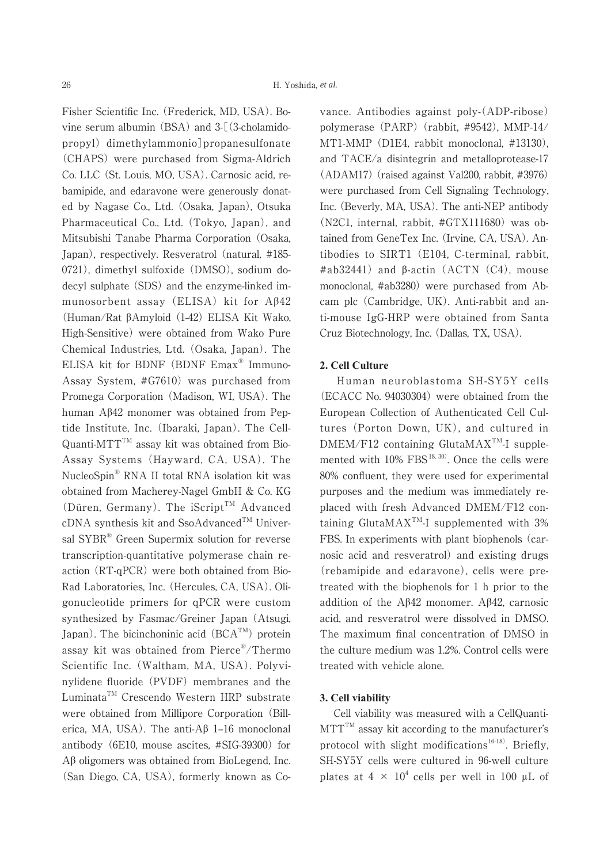Fisher Scientific Inc. (Frederick, MD, USA). Bovine serum albumin (BSA) and 3-[(3-cholamidopropyl) dimethylammonio]propanesulfonate (CHAPS) were purchased from Sigma-Aldrich Co. LLC (St. Louis, MO, USA). Carnosic acid, rebamipide, and edaravone were generously donated by Nagase Co., Ltd. (Osaka, Japan), Otsuka Pharmaceutical Co., Ltd. (Tokyo, Japan), and Mitsubishi Tanabe Pharma Corporation (Osaka, Japan), respectively. Resveratrol (natural, #185- 0721), dimethyl sulfoxide (DMSO), sodium dodecyl sulphate (SDS) and the enzyme-linked immunosorbent assay (ELISA) kit for  $A\beta 42$ (Human/Rat ȕAmyloid (1-42) ELISA Kit Wako, High-Sensitive) were obtained from Wako Pure Chemical Industries, Ltd. (Osaka, Japan). The ELISA kit for BDNF (BDNF Emax® Immuno-Assay System, #G7610) was purchased from Promega Corporation (Madison, WI, USA). The human  $A\beta 42$  monomer was obtained from Peptide Institute, Inc. (Ibaraki, Japan). The Cell-Quanti-MTT<sup>TM</sup> assay kit was obtained from Bio-Assay Systems (Hayward, CA, USA). The NucleoSpin® RNA II total RNA isolation kit was obtained from Macherey-Nagel GmbH & Co. KG (Düren, Germany). The  $iScript^{\text{TM}}$  Advanced  $cDNA$  synthesis kit and SsoAdvanced<sup>TM</sup> Universal SYBR® Green Supermix solution for reverse transcription-quantitative polymerase chain reaction (RT-qPCR) were both obtained from Bio-Rad Laboratories, Inc. (Hercules, CA, USA). Oligonucleotide primers for qPCR were custom synthesized by Fasmac/Greiner Japan (Atsugi, Japan). The bicinchoninic acid  $(BCA^{TM})$  protein assay kit was obtained from Pierce®/Thermo Scientific Inc. (Waltham, MA, USA). Polyvinylidene fluoride (PVDF) membranes and the Luminata<sup>TM</sup> Crescendo Western HRP substrate were obtained from Millipore Corporation (Billerica, MA, USA). The anti- $A\beta$  1–16 monoclonal antibody (6E10, mouse ascites, #SIG-39300) for  $A\beta$  oligomers was obtained from BioLegend, Inc. (San Diego, CA, USA), formerly known as Covance. Antibodies against poly-(ADP-ribose) polymerase (PARP) (rabbit, #9542), MMP-14/ MT1-MMP (D1E4, rabbit monoclonal, #13130), and TACE/a disintegrin and metalloprotease-17  $(ADAM17)$  (raised against Val200, rabbit, #3976) were purchased from Cell Signaling Technology, Inc. (Beverly, MA, USA). The anti-NEP antibody (N2C1, internal, rabbit, #GTX111680) was obtained from GeneTex Inc. (Irvine, CA, USA). Antibodies to SIRT1 (E104, C-terminal, rabbit,  $\#ab32441$ ) and  $\beta$ -actin (ACTN (C4), mouse monoclonal, #ab3280) were purchased from Abcam plc (Cambridge, UK). Anti-rabbit and anti-mouse IgG-HRP were obtained from Santa Cruz Biotechnology, Inc. (Dallas, TX, USA).

### **2. Cell Culture**

 Human neuroblastoma SH-SY5Y cells (ECACC No. 94030304) were obtained from the European Collection of Authenticated Cell Cultures (Porton Down, UK), and cultured in  $DMEM/F12$  containing Gluta $MAX^{TM}$ -I supplemented with  $10\%$  FBS<sup>18, 30)</sup>. Once the cells were 80% confluent, they were used for experimental purposes and the medium was immediately replaced with fresh Advanced DMEM/F12 containing Gluta $MAX^{TM}$ -I supplemented with 3% FBS. In experiments with plant biophenols (carnosic acid and resveratrol) and existing drugs (rebamipide and edaravone), cells were pretreated with the biophenols for 1 h prior to the addition of the  $A\beta42$  monomer.  $A\beta42$ , carnosic acid, and resveratrol were dissolved in DMSO. The maximum final concentration of DMSO in the culture medium was 1.2%. Control cells were treated with vehicle alone.

#### **3. Cell viability**

 Cell viability was measured with a CellQuanti- $MTT^{TM}$  assay kit according to the manufacturer's protocol with slight modifications<sup>16-18)</sup>. Briefly, SH-SY5Y cells were cultured in 96-well culture plates at  $4 \times 10^4$  cells per well in 100 µL of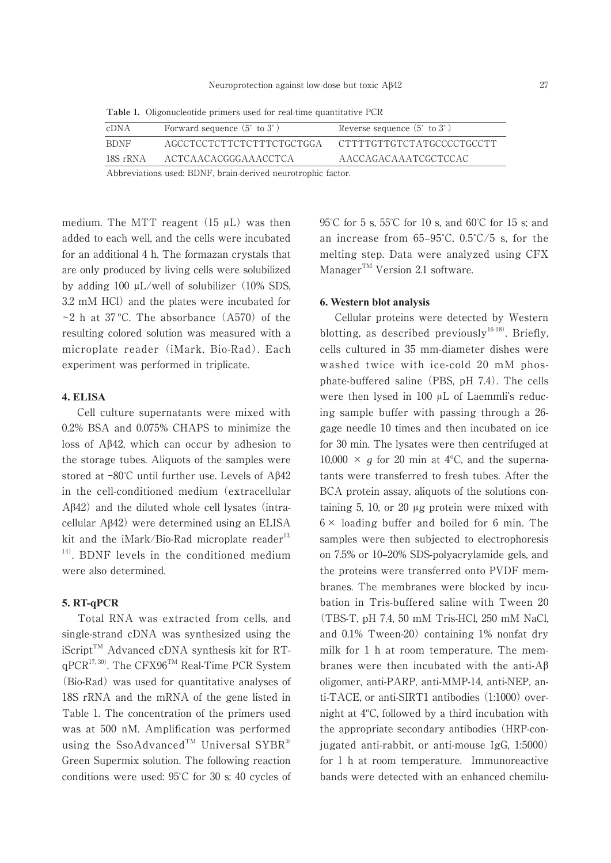| cDNA                                                         | Forward sequence $(5'$ to $3')$ | Reverse sequence $(5'$ to $3')$ |
|--------------------------------------------------------------|---------------------------------|---------------------------------|
| <b>BDNF</b>                                                  | AGCCTCCTCTTCTCTTTCTGCTGGA       | - CTTTTGTTGTCTATGCCCCTGCCTT     |
| 18S rRNA                                                     | ACTCAACACGGGAAACCTCA            | AACCAGACAAATCGCTCCAC            |
| Abbreviations used: BDNF, brain-derived neurotrophic factor. |                                 |                                 |

**Table 1.** Oligonucleotide primers used for real-time quantitative PCR

medium. The MTT reagent (15 μL) was then added to each well, and the cells were incubated for an additional 4 h. The formazan crystals that are only produced by living cells were solubilized by adding 100 μL/well of solubilizer (10% SDS, 3.2 mM HCl) and the plates were incubated for  $\sim$ 2 h at 37 °C. The absorbance (A570) of the resulting colored solution was measured with a microplate reader (iMark, Bio-Rad). Each experiment was performed in triplicate.

#### **4. ELISA**

 Cell culture supernatants were mixed with 0.2% BSA and 0.075% CHAPS to minimize the loss of  $A\beta 42$ , which can occur by adhesion to the storage tubes. Aliquots of the samples were stored at  $-80^{\circ}$ C until further use. Levels of A $\beta$ 42 in the cell-conditioned medium (extracellular  $A\beta$ 42) and the diluted whole cell lysates (intracellular  $A\beta$ 42) were determined using an ELISA kit and the iMark/Bio-Rad microplate reader<sup>13,</sup> <sup>14)</sup>. BDNF levels in the conditioned medium were also determined.

#### **5. RT-qPCR**

 Total RNA was extracted from cells, and single-strand cDNA was synthesized using the  $i$ Script<sup>TM</sup> Advanced cDNA synthesis kit for RTqPCR17, 30). The CFX96TM Real-Time PCR System (Bio-Rad) was used for quantitative analyses of 18S rRNA and the mRNA of the gene listed in Table 1. The concentration of the primers used was at 500 nM. Amplification was performed using the SsoAdvanced<sup>TM</sup> Universal SYBR® Green Supermix solution. The following reaction conditions were used: 95̊C for 30 s; 40 cycles of 95̊C for 5 s, 55̊C for 10 s, and 60̊C for 15 s; and an increase from  $65-95^{\circ}$ C,  $0.5^{\circ}$ C/5 s, for the melting step. Data were analyzed using CFX Manager $T^M$  Version 2.1 software.

#### **6. Western blot analysis**

 Cellular proteins were detected by Western blotting, as described previously<sup>16-18)</sup>. Briefly, cells cultured in 35 mm-diameter dishes were washed twice with ice-cold 20 mM phosphate-buffered saline (PBS, pH 7.4). The cells were then lysed in 100 μL of Laemmli's reducing sample buffer with passing through a 26 gage needle 10 times and then incubated on ice for 30 min. The lysates were then centrifuged at 10,000  $\times$  *g* for 20 min at 4<sup>o</sup>C, and the supernatants were transferred to fresh tubes. After the BCA protein assay, aliquots of the solutions containing 5, 10, or 20 μg protein were mixed with  $6 \times$  loading buffer and boiled for 6 min. The samples were then subjected to electrophoresis on 7.5% or 10‒20% SDS-polyacrylamide gels, and the proteins were transferred onto PVDF membranes. The membranes were blocked by incubation in Tris-buffered saline with Tween 20 (TBS-T, pH 7.4, 50 mM Tris-HCl, 250 mM NaCl, and 0.1% Tween-20) containing 1% nonfat dry milk for 1 h at room temperature. The membranes were then incubated with the anti- $A\beta$ oligomer, anti-PARP, anti-MMP-14, anti-NEP, anti-TACE, or anti-SIRT1 antibodies (1:1000) overnight at 4ºC, followed by a third incubation with the appropriate secondary antibodies (HRP-conjugated anti-rabbit, or anti-mouse IgG, 1:5000) for 1 h at room temperature. Immunoreactive bands were detected with an enhanced chemilu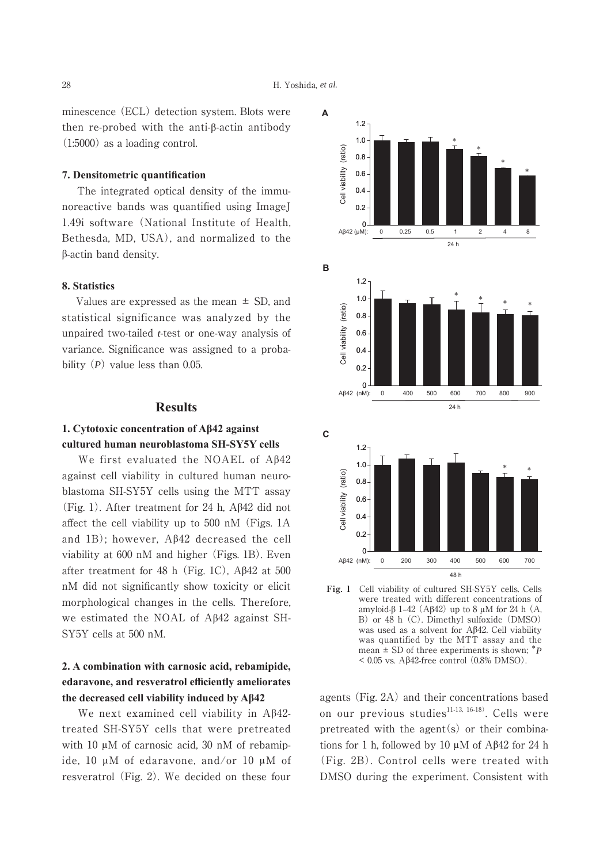minescence (ECL) detection system. Blots were then re-probed with the anti- $\beta$ -actin antibody (1:5000) as a loading control.

#### **7. Densitometric quantification**

 The integrated optical density of the immunoreactive bands was quantified using ImageJ 1.49i software (National Institute of Health, Bethesda, MD, USA), and normalized to the ȕ-actin band density.

## **8.** Statistics

Values are expressed as the mean  $\pm$  SD, and statistical significance was analyzed by the unpaired two-tailed *t*-test or one-way analysis of variance. Significance was assigned to a probability (*P*) value less than 0.05.

#### **Results**

## **1. Cytotoxic concentration of AB42 against cultured human neuroblastoma SH-SY5Y cells**

We first evaluated the NOAEL of  $A\beta42$ against cell viability in cultured human neuroblastoma SH-SY5Y cells using the MTT assay (Fig. 1). After treatment for 24 h,  $\mathbf{A}\beta 42$  did not affect the cell viability up to 500 nM (Figs. 1A and 1B); however,  $A\beta 42$  decreased the cell viability at 600 nM and higher (Figs. 1B). Even after treatment for 48 h (Fig. 1C),  $\text{A}\beta42$  at 500 nM did not significantly show toxicity or elicit morphological changes in the cells. Therefore, we estimated the NOAL of  $A\beta42$  against SH-SY5Y cells at 500 nM.

# 2. A combination with carnosic acid, rebamipide, edaravone, and resveratrol efficiently ameliorates the decreased cell viability induced by  $A\beta$ <sup>42</sup>

We next examined cell viability in A $\beta$ 42treated SH-SY5Y cells that were pretreated with 10 μM of carnosic acid, 30 nM of rebamipide, 10 μM of edaravone, and/or 10 μM of resveratrol (Fig. 2). We decided on these four



**Fig. 1** Cell viability of cultured SH-SY5Y cells. Cells were treated with different concentrations of amyloid- $\beta$  1–42 (A $\beta$ 42) up to 8  $\mu$ M for 24 h (A, B) or 48 h (C). Dimethyl sulfoxide (DMSO) was used as a solvent for  $A\beta 42$ . Cell viability was quantified by the MTT assay and the mean  $\pm$  SD of three experiments is shown;  $^*P$  $< 0.05$  vs. A $\beta$ 42-free control (0.8% DMSO).

agents (Fig. 2A) and their concentrations based on our previous studies $^{11-13, 16-18}$ . Cells were pretreated with the agent $(s)$  or their combinations for 1 h, followed by 10  $\mu$ M of A $\beta$ 42 for 24 h (Fig. 2B). Control cells were treated with DMSO during the experiment. Consistent with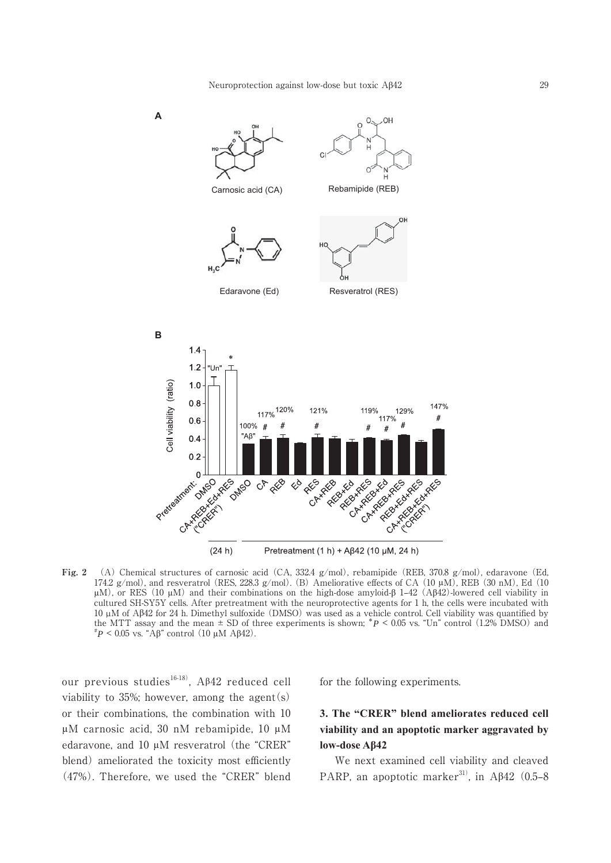

**Fig. 2** (A) Chemical structures of carnosic acid (CA, 332.4 g/mol), rebamipide (REB, 370.8 g/mol), edaravone (Ed, 174.2 g/mol), and resveratrol (RES, 228.3 g/mol). (B) Ameliorative effects of CA (10  $\mu$ M), REB (30 nM), Ed (10 μM), or RES (10 μM) and their combinations on the high-dose amyloid-β 1–42 (Aβ42)-lowered cell viability in cultured SH-SY5Y cells. After pretreatment with the neuroprotective agents for 1 h, the cells were incubated with 10 µM of Aȕ42 for 24 h. Dimethyl sulfoxide (DMSO) was used as a vehicle control. Cell viability was quantified by the MTT assay and the mean  $\pm$  SD of three experiments is shown;  $\pi P$  < 0.05 vs. "Un" control (1.2% DMSO) and  $P^*P$  < 0.05 vs. "Aβ" control (10 μM Aβ42).

our previous studies<sup>16-18)</sup>, A $\beta$ 42 reduced cell viability to 35%; however, among the agent(s) or their combinations, the combination with 10 μM carnosic acid, 30 nM rebamipide, 10 μM edaravone, and 10 μM resveratrol (the "CRER" blend) ameliorated the toxicity most efficiently (47%). Therefore, we used the "CRER" blend

for the following experiments.

# **3. The "CRER" blend ameliorates reduced cell**  viability and an apoptotic marker aggravated by low-dose Aβ42

 We next examined cell viability and cleaved PARP, an apoptotic marker<sup>31)</sup>, in A $\beta$ 42 (0.5–8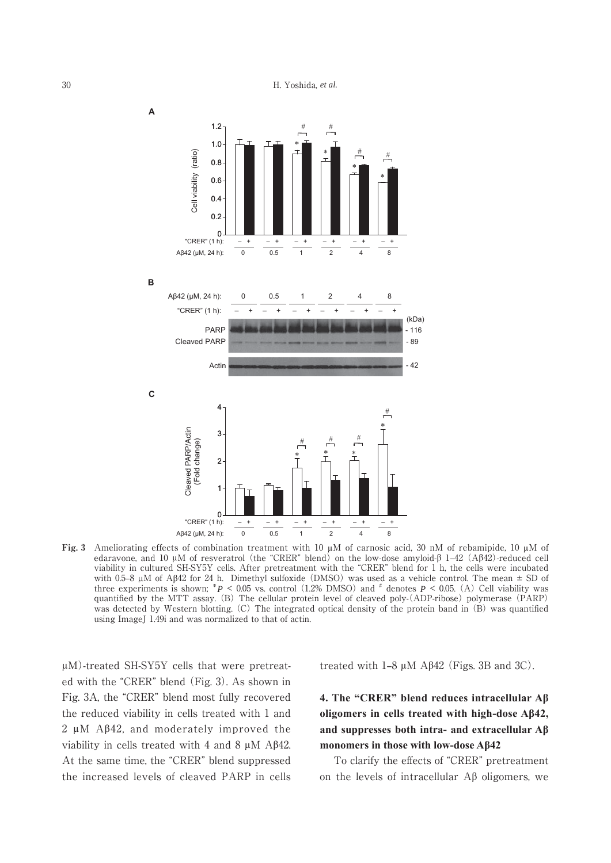

**Fig. 3** Ameliorating effects of combination treatment with 10 μM of carnosic acid, 30 nM of rebamipide, 10 μM of edaravone, and 10  $\mu$ M of resveratrol (the "CRER" blend) on the low-dose amyloid- $\beta$  1–42 (A $\beta$ 42)-reduced cell viability in cultured SH-SY5Y cells. After pretreatment with the "CRER" blend for 1 h, the cells were incubated with 0.5–8  $\mu$ M of A $\beta$ 42 for 24 h. Dimethyl sulfoxide (DMSO) was used as a vehicle control. The mean  $\pm$  SD of three experiments is shown;  $^*P \le 0.05$  vs. control (1.2% DMSO) and  $^*$  denotes  $P \le 0.05$ . (A) Cell viability was quantified by the MTT assay. (B) The cellular protein level of cleaved poly-(ADP-ribose) polymerase (PARP) was detected by Western blotting. (C) The integrated optical density of the protein band in (B) was quantified using ImageJ 1.49i and was normalized to that of actin.

μM)-treated SH-SY5Y cells that were pretreated with the "CRER" blend (Fig. 3). As shown in Fig. 3A, the "CRER" blend most fully recovered the reduced viability in cells treated with 1 and 2  $\mu$ M A $\beta$ 42, and moderately improved the viability in cells treated with 4 and 8  $\mu$ M A $\beta$ 42. At the same time, the "CRER" blend suppressed the increased levels of cleaved PARP in cells treated with  $1-8 \mu M$  A $\beta$ 42 (Figs. 3B and 3C).

# **4. The "CRER" blend reduces intracellular Aβ** oligomers in cells treated with high-dose A<sub>B42</sub>, and suppresses both intra- and extracellular  $A\beta$ monomers in those with low-dose A<sub>B</sub>42

 To clarify the effects of "CRER" pretreatment on the levels of intracellular  $\Lambda\beta$  oligomers, we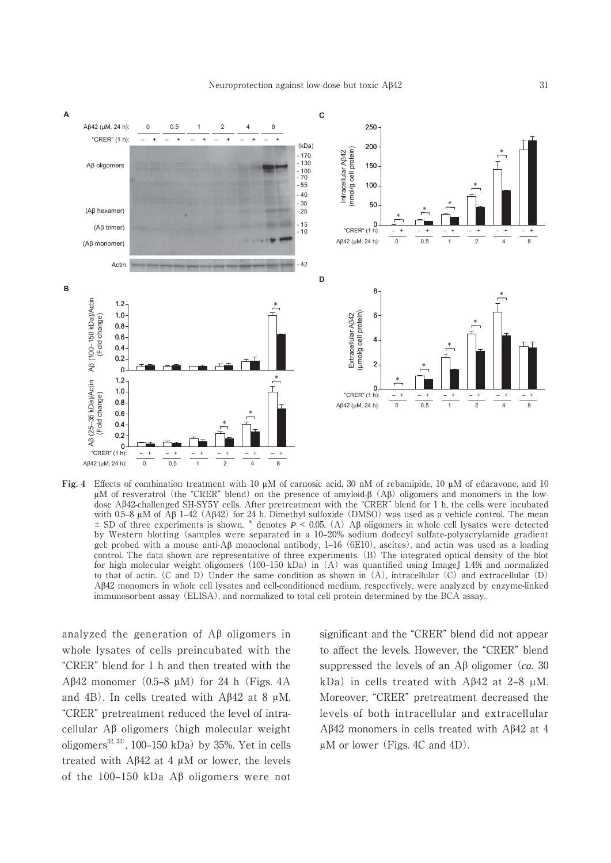

**Fig. 4** Effects of combination treatment with 10 μM of carnosic acid, 30 nM of rebamipide, 10 μM of edaravone, and 10 μM of resveratrol (the "CRER" blend) on the presence of amyloid- $β$  (A $β$ ) oligomers and monomers in the lowdose A $\beta$ 42-challenged SH-SY5Y cells. After pretreatment with the "CRER" blend for 1 h, the cells were incubated with 0.5–8  $\mu$ M of A $\beta$  1–42 (A $\beta$ 42) for 24 h. Dimethyl sulfoxide (DMSO) was used as a vehicle control. The mean  $\pm$  SD of three experiments is shown. \* denotes  $P \le 0.05$ . (A) A $\beta$  oligomers in whole cell lysates were detected by Western blotting (samples were separated in a 10–20% sodium dodecyl sulfate-polyacrylamide gradient gel; probed with a mouse anti-A $\beta$  monoclonal antibody, 1–16 (6E10), ascites), and actin was used as a loading control. The data shown are representative of three experiments. (B) The integrated optical density of the blot for high molecular weight oligomers (100–150 kDa) in  $(A)$  was quantified using ImageJ 1.49i and normalized to that of actin. (C and D) Under the same condition as shown in (A), intracellular (C) and extracellular (D) A $\beta$ 42 monomers in whole cell lysates and cell-conditioned medium, respectively, were analyzed by enzyme-linked immunosorbent assay (ELISA), and normalized to total cell protein determined by the BCA assay.

analyzed the generation of  $\overrightarrow{AB}$  oligomers in whole lysates of cells preincubated with the "CRER" blend for 1 h and then treated with the Aβ42 monomer  $(0.5-8 \mu M)$  for 24 h (Figs. 4A) and 4B). In cells treated with  $A\beta$ 42 at 8  $\mu$ M, "CRER" pretreatment reduced the level of intracellular  $\mathbf{A}\boldsymbol{\beta}$  oligomers (high molecular weight oligomers<sup>32, 33)</sup>, 100-150 kDa) by 35%. Yet in cells treated with  $A\beta42$  at 4  $\mu$ M or lower, the levels of the 100-150 kDa A $\beta$  oligomers were not significant and the "CRER" blend did not appear to affect the levels. However, the "CRER" blend suppressed the levels of an  $\mathcal{A}\beta$  oligomer (*ca.* 30) kDa) in cells treated with A $\beta$ 42 at 2–8  $\mu$ M. Moreover, "CRER" pretreatment decreased the levels of both intracellular and extracellular A $\beta$ 42 monomers in cells treated with A $\beta$ 42 at 4 μM or lower (Figs. 4C and 4D).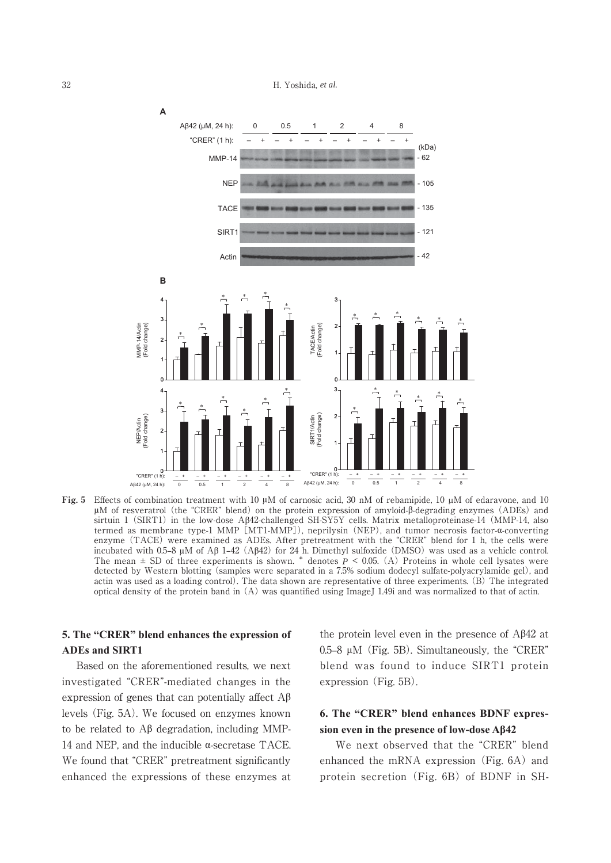32 H. Yoshida, *et al.*



**Fig. 5** Effects of combination treatment with 10 μM of carnosic acid, 30 nM of rebamipide, 10 µM of edaravone, and 10 μM of resveratrol (the "CRER" blend) on the protein expression of amyloid-β-degrading enzymes (ADEs) and sirtuin 1 (SIRT1) in the low-dose A $\beta$ 42-challenged SH-SY5Y cells. Matrix metalloproteinase-14 (MMP-14, also termed as membrane type-1 MMP [MT1-MMP]), neprilysin (NEP), and tumor necrosis factor-a-converting enzyme (TACE) were examined as ADEs. After pretreatment with the "CRER" blend for 1 h, the cells were incubated with 0.5–8  $\mu$ M of A $\beta$  1–42 (A $\beta$ 42) for 24 h. Dimethyl sulfoxide (DMSO) was used as a vehicle control. The mean  $\pm$  SD of three experiments is shown.  $*$  denotes  $P \le 0.05$ . (A) Proteins in whole cell lysates were detected by Western blotting (samples were separated in a 7.5% sodium dodecyl sulfate-polyacrylamide gel), and actin was used as a loading control). The data shown are representative of three experiments. (B) The integrated optical density of the protein band in (A) was quantified using ImageJ 1.49i and was normalized to that of actin.

## **5. The "CRER" blend enhances the expression of ADEs and SIRT1**

 Based on the aforementioned results, we next investigated "CRER"-mediated changes in the expression of genes that can potentially affect  $A\beta$ levels (Fig. 5A). We focused on enzymes known to be related to  $\mathbf{A}\boldsymbol{\beta}$  degradation, including MMP-14 and NEP, and the inducible  $\alpha$ -secretase TACE. We found that "CRER" pretreatment significantly enhanced the expressions of these enzymes at the protein level even in the presence of  $A\beta 42$  at  $0.5-8$   $\mu$ M (Fig. 5B). Simultaneously, the "CRER" blend was found to induce SIRT1 protein expression (Fig. 5B).

# 6. The "CRER" blend enhances BDNF expression even in the presence of low-dose A<sub>B</sub>42

 We next observed that the "CRER" blend enhanced the mRNA expression (Fig. 6A) and protein secretion (Fig. 6B) of BDNF in SH-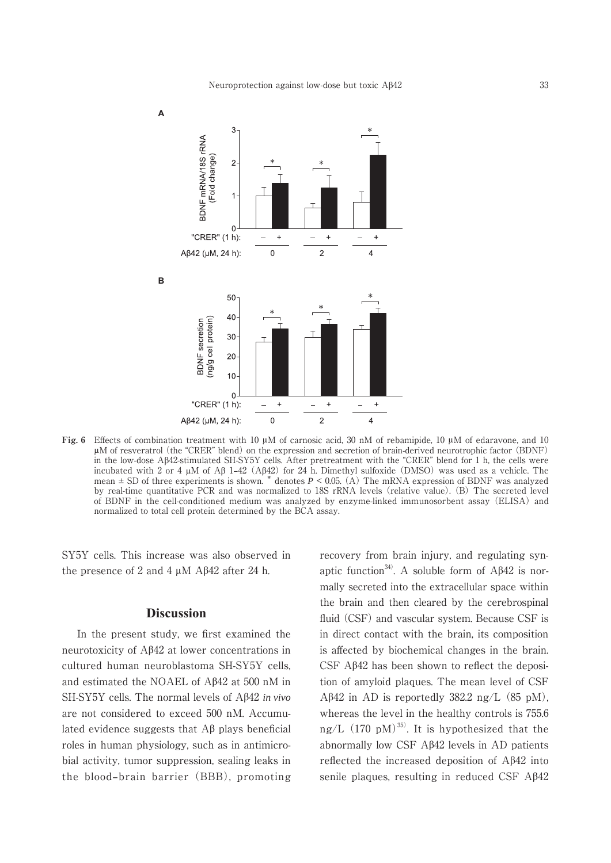

**Fig. 6** Effects of combination treatment with 10 μM of carnosic acid, 30 nM of rebamipide, 10 μM of edaravone, and 10 μM of resveratrol (the "CRER" blend) on the expression and secretion of brain-derived neurotrophic factor (BDNF) in the low-dose Aȕ42-stimulated SH-SY5Y cells. After pretreatment with the "CRER" blend for 1 h, the cells were incubated with 2 or 4  $\mu$ M of A $\beta$  1–42 (A $\beta$ 42) for 24 h. Dimethyl sulfoxide (DMSO) was used as a vehicle. The mean ± SD of three experiments is shown. \* denotes *P* < 0.05. (A) The mRNA expression of BDNF was analyzed by real-time quantitative PCR and was normalized to 18S rRNA levels (relative value). (B) The secreted level of BDNF in the cell-conditioned medium was analyzed by enzyme-linked immunosorbent assay (ELISA) and normalized to total cell protein determined by the BCA assay.

SY5Y cells. This increase was also observed in the presence of 2 and 4 μM Aβ42 after 24 h.

## **Discussion**

 In the present study, we first examined the neurotoxicity of  $A\beta42$  at lower concentrations in cultured human neuroblastoma SH-SY5Y cells, and estimated the NOAEL of A $\beta$ 42 at 500 nM in SH-SY5Y cells. The normal levels of Aβ42 *in vivo* are not considered to exceed 500 nM. Accumulated evidence suggests that  $\mathcal{A}\beta$  plays beneficial roles in human physiology, such as in antimicrobial activity, tumor suppression, sealing leaks in the blood-brain barrier (BBB), promoting recovery from brain injury, and regulating synaptic function<sup>34)</sup>. A soluble form of  $A\beta 42$  is normally secreted into the extracellular space within the brain and then cleared by the cerebrospinal fluid (CSF) and vascular system. Because CSF is in direct contact with the brain, its composition is affected by biochemical changes in the brain. CSF  $A\beta42$  has been shown to reflect the deposition of amyloid plaques. The mean level of CSF  $A\beta$ 42 in AD is reportedly 382.2 ng/L (85 pM), whereas the level in the healthy controls is 755.6 ng/L  $(170 \text{ pM})^{35}$ . It is hypothesized that the abnormally low CSF  $A\beta42$  levels in AD patients reflected the increased deposition of  $A\beta 42$  into senile plaques, resulting in reduced CSF  $A\beta42$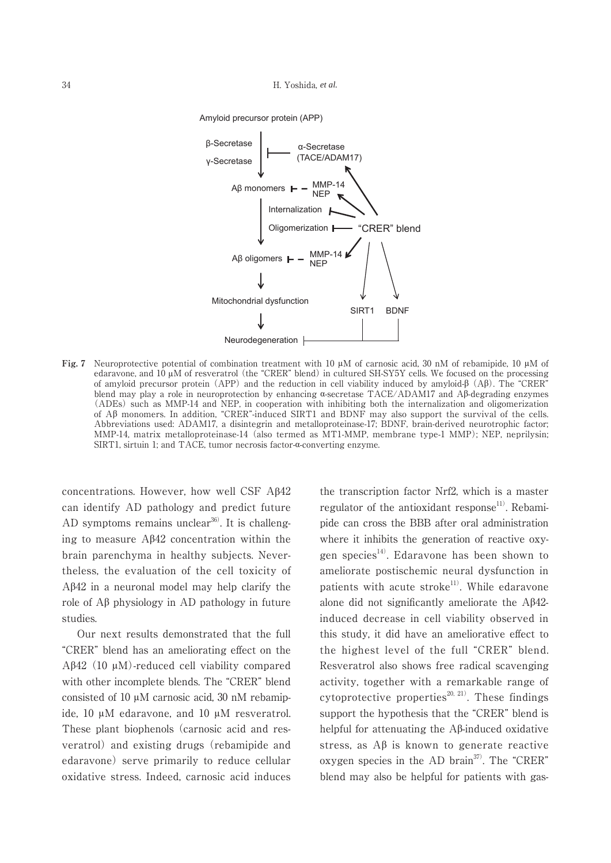



**Fig. 7** Neuroprotective potential of combination treatment with 10 μM of carnosic acid, 30 nM of rebamipide, 10 μM of edaravone, and 10 μM of resveratrol (the "CRER" blend) in cultured SH-SY5Y cells. We focused on the processing of amyloid precursor protein (APP) and the reduction in cell viability induced by amyloid- $\beta$  (A $\beta$ ). The "CRER" blend may play a role in neuroprotection by enhancing  $\alpha$ -secretase TACE/ADAM17 and A $\beta$ -degrading enzymes (ADEs) such as MMP-14 and NEP, in cooperation with inhibiting both the internalization and oligomerization of  $\mathbb{A}\beta$  monomers. In addition, "CRER"-induced SIRT1 and BDNF may also support the survival of the cells. Abbreviations used: ADAM17, a disintegrin and metalloproteinase-17; BDNF, brain-derived neurotrophic factor; MMP-14, matrix metalloproteinase-14 (also termed as MT1-MMP, membrane type-1 MMP); NEP, neprilysin; SIRT1, sirtuin 1; and TACE, tumor necrosis factor- $\alpha$ -converting enzyme.

concentrations. However, how well CSF A $\beta$ 42 can identify AD pathology and predict future AD symptoms remains unclear<sup>36)</sup>. It is challenging to measure  $A\beta 42$  concentration within the brain parenchyma in healthy subjects. Nevertheless, the evaluation of the cell toxicity of  $A\beta42$  in a neuronal model may help clarify the role of  $A\beta$  physiology in AD pathology in future studies.

 Our next results demonstrated that the full "CRER" blend has an ameliorating effect on the Aβ42 (10  $\mu$ M)-reduced cell viability compared with other incomplete blends. The "CRER" blend consisted of 10 μM carnosic acid, 30 nM rebamipide, 10 μM edaravone, and 10 μM resveratrol. These plant biophenols (carnosic acid and resveratrol) and existing drugs (rebamipide and edaravone) serve primarily to reduce cellular oxidative stress. Indeed, carnosic acid induces the transcription factor Nrf2, which is a master regulator of the antioxidant response<sup>11)</sup>. Rebamipide can cross the BBB after oral administration where it inhibits the generation of reactive oxygen species<sup>14)</sup>. Edaravone has been shown to ameliorate postischemic neural dysfunction in patients with acute stroke<sup>11)</sup>. While edaravone alone did not significantly ameliorate the  $A\beta42$ induced decrease in cell viability observed in this study, it did have an ameliorative effect to the highest level of the full "CRER" blend. Resveratrol also shows free radical scavenging activity, together with a remarkable range of cytoprotective properties<sup>20, 21)</sup>. These findings support the hypothesis that the "CRER" blend is helpful for attenuating the  $\Lambda\beta$ -induced oxidative stress, as  $A\beta$  is known to generate reactive oxygen species in the AD brain<sup>37)</sup>. The "CRER" blend may also be helpful for patients with gas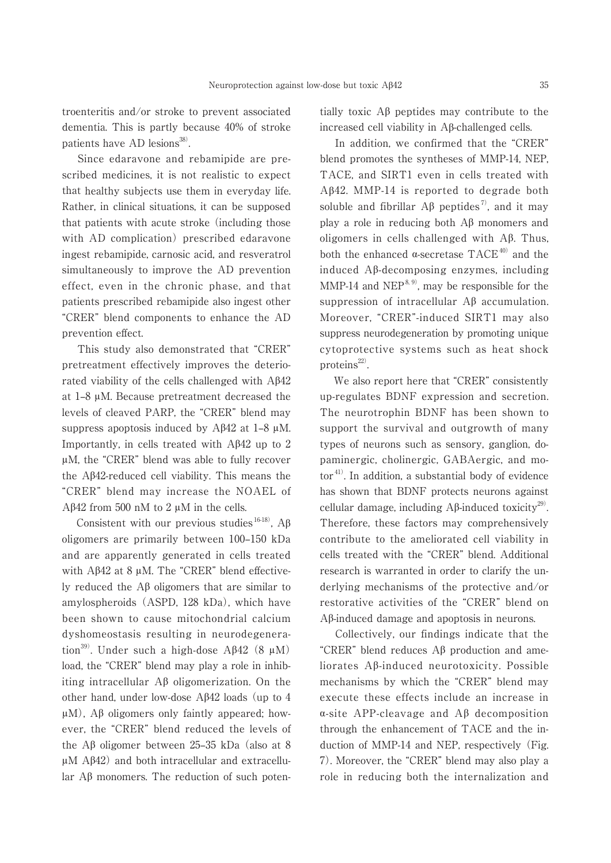troenteritis and/or stroke to prevent associated dementia. This is partly because 40% of stroke patients have AD lesions $^{38}$ .

 Since edaravone and rebamipide are prescribed medicines, it is not realistic to expect that healthy subjects use them in everyday life. Rather, in clinical situations, it can be supposed that patients with acute stroke (including those with AD complication) prescribed edaravone ingest rebamipide, carnosic acid, and resveratrol simultaneously to improve the AD prevention effect, even in the chronic phase, and that patients prescribed rebamipide also ingest other "CRER" blend components to enhance the AD prevention effect.

 This study also demonstrated that "CRER" pretreatment effectively improves the deteriorated viability of the cells challenged with  $A\beta42$ at 1‒8 μM. Because pretreatment decreased the levels of cleaved PARP, the "CRER" blend may suppress apoptosis induced by  $A\beta 42$  at 1–8  $\mu$ M. Importantly, in cells treated with  $\text{A}\beta42$  up to 2 μM, the "CRER" blend was able to fully recover the  $A\beta42$ -reduced cell viability. This means the "CRER" blend may increase the NOAEL of Aβ42 from 500 nM to 2  $μ$ M in the cells.

Consistent with our previous studies  $^{16-18}$ . A $\beta$ oligomers are primarily between 100-150 kDa and are apparently generated in cells treated with  $A\beta42$  at 8  $\mu$ M. The "CRER" blend effectively reduced the  $\Delta\beta$  oligomers that are similar to amylospheroids (ASPD, 128 kDa), which have been shown to cause mitochondrial calcium dyshomeostasis resulting in neurodegeneration<sup>39)</sup>. Under such a high-dose A $\beta$ 42 (8  $\mu$ M) load, the "CRER" blend may play a role in inhibiting intracellular  $\overrightarrow{AB}$  oligomerization. On the other hand, under low-dose  $A\beta 42$  loads (up to 4  $\mu$ M), A $\beta$  oligomers only faintly appeared; however, the "CRER" blend reduced the levels of the A $\beta$  oligomer between 25–35 kDa (also at 8 μM  $Aβ42$ ) and both intracellular and extracellu- $\text{lar } A\beta$  monomers. The reduction of such potentially toxic  $\Lambda\beta$  peptides may contribute to the increased cell viability in  $A\beta$ -challenged cells.

 In addition, we confirmed that the "CRER" blend promotes the syntheses of MMP-14, NEP, TACE, and SIRT1 even in cells treated with  $A\beta$ 42. MMP-14 is reported to degrade both soluble and fibrillar  $\mathbf{A}\beta$  peptides<sup>7</sup>, and it may play a role in reducing both  $A\beta$  monomers and oligomers in cells challenged with Aȕ. Thus, both the enhanced  $\alpha$ -secretase TACE<sup>40)</sup> and the induced  $\Delta \beta$ -decomposing enzymes, including MMP-14 and NEP $^{8, 9)}$ , may be responsible for the suppression of intracellular  $A\beta$  accumulation. Moreover, "CRER"-induced SIRT1 may also suppress neurodegeneration by promoting unique cytoprotective systems such as heat shock proteins $^{22)}$ .

 We also report here that "CRER" consistently up-regulates BDNF expression and secretion. The neurotrophin BDNF has been shown to support the survival and outgrowth of many types of neurons such as sensory, ganglion, dopaminergic, cholinergic, GABAergic, and motor 41). In addition, a substantial body of evidence has shown that BDNF protects neurons against cellular damage, including  $\mathcal{A}\beta$ -induced toxicity<sup>29)</sup>. Therefore, these factors may comprehensively contribute to the ameliorated cell viability in cells treated with the "CRER" blend. Additional research is warranted in order to clarify the underlying mechanisms of the protective and/or restorative activities of the "CRER" blend on  $A\beta$ -induced damage and apoptosis in neurons.

 Collectively, our findings indicate that the "CRER" blend reduces  $\mathbf{A}\beta$  production and ameliorates  $A\beta$ -induced neurotoxicity. Possible mechanisms by which the "CRER" blend may execute these effects include an increase in  $\alpha$ -site APP-cleavage and A $\beta$  decomposition through the enhancement of TACE and the induction of MMP-14 and NEP, respectively (Fig. 7). Moreover, the "CRER" blend may also play a role in reducing both the internalization and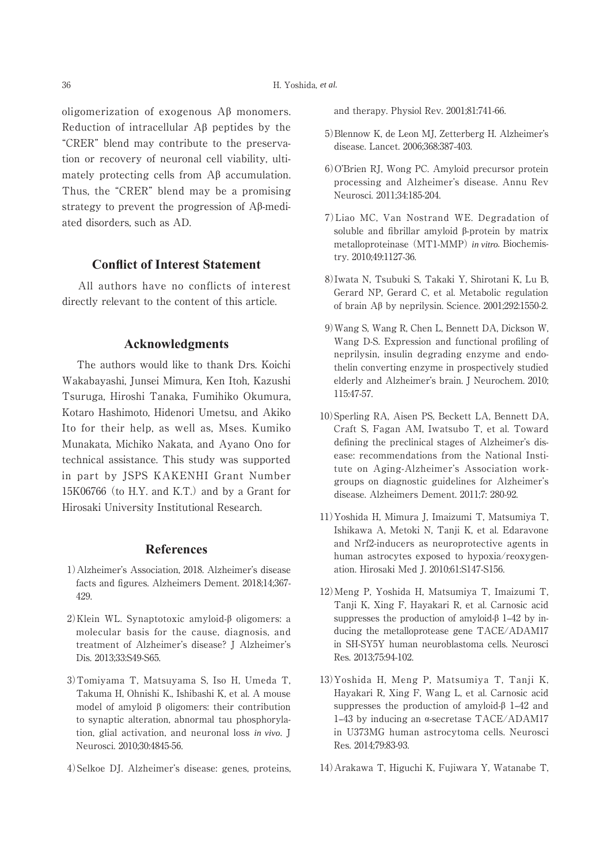oligomerization of exogenous  $\mathcal{A}\beta$  monomers. Reduction of intracellular  $\mathbf{A}\boldsymbol{\beta}$  peptides by the "CRER" blend may contribute to the preservation or recovery of neuronal cell viability, ultimately protecting cells from  $\overrightarrow{AB}$  accumulation. Thus, the "CRER" blend may be a promising strategy to prevent the progression of  $\Lambda\beta$ -mediated disorders, such as AD.

## **Conflict of Interest Statement**

 All authors have no conflicts of interest directly relevant to the content of this article.

#### **Acknowledgments**

 The authors would like to thank Drs. Koichi Wakabayashi, Junsei Mimura, Ken Itoh, Kazushi Tsuruga, Hiroshi Tanaka, Fumihiko Okumura, Kotaro Hashimoto, Hidenori Umetsu, and Akiko Ito for their help, as well as, Mses. Kumiko Munakata, Michiko Nakata, and Ayano Ono for technical assistance. This study was supported in part by JSPS KAKENHI Grant Number 15K06766 (to H.Y. and K.T.) and by a Grant for Hirosaki University Institutional Research.

#### **References**

- 1)Alzheimer's Association, 2018. Alzheimer's disease facts and figures. Alzheimers Dement. 2018;14;367- 429.
- $2)$ Klein WL. Synaptotoxic amyloid- $\beta$  oligomers: a molecular basis for the cause, diagnosis, and treatment of Alzheimer's disease? J Alzheimer's Dis. 2013;33:S49-S65.
- 3)Tomiyama T, Matsuyama S, Iso H, Umeda T, Takuma H, Ohnishi K., Ishibashi K, et al. A mouse model of amyloid  $\beta$  oligomers: their contribution to synaptic alteration, abnormal tau phosphorylation, glial activation, and neuronal loss *in vivo*. J Neurosci. 2010;30:4845-56.
- 4)Selkoe DJ. Alzheimer's disease: genes, proteins,

and therapy. Physiol Rev. 2001;81:741-66.

- 5)Blennow K, de Leon MJ, Zetterberg H. Alzheimer's disease. Lancet. 2006;368:387-403.
- 6)O'Brien RJ, Wong PC. Amyloid precursor protein processing and Alzheimer's disease. Annu Rev Neurosci. 2011;34:185-204.
- 7)Liao MC, Van Nostrand WE. Degradation of soluble and fibrillar amyloid  $\beta$ -protein by matrix metalloproteinase (MT1-MMP)*in vitro*. Biochemistry. 2010;49:1127-36.
- 8)Iwata N, Tsubuki S, Takaki Y, Shirotani K, Lu B, Gerard NP, Gerard C, et al. Metabolic regulation of brain  $\mathcal{A}\beta$  by neprilysin. Science. 2001;292:1550-2.
- 9)Wang S, Wang R, Chen L, Bennett DA, Dickson W, Wang D-S. Expression and functional profiling of neprilysin, insulin degrading enzyme and endothelin converting enzyme in prospectively studied elderly and Alzheimer's brain. J Neurochem. 2010; 115:47-57.
- 10)Sperling RA, Aisen PS, Beckett LA, Bennett DA, Craft S, Fagan AM, Iwatsubo T, et al. Toward defining the preclinical stages of Alzheimer's disease: recommendations from the National Institute on Aging-Alzheimer's Association workgroups on diagnostic guidelines for Alzheimer's disease. Alzheimers Dement. 2011;7: 280-92.
- 11)Yoshida H, Mimura J, Imaizumi T, Matsumiya T, Ishikawa A, Metoki N, Tanji K, et al. Edaravone and Nrf2-inducers as neuroprotective agents in human astrocytes exposed to hypoxia/reoxygenation. Hirosaki Med J. 2010;61:S147-S156.
- 12)Meng P, Yoshida H, Matsumiya T, Imaizumi T, Tanji K, Xing F, Hayakari R, et al. Carnosic acid suppresses the production of amyloid- $\beta$  1–42 by inducing the metalloprotease gene TACE/ADAM17 in SH-SY5Y human neuroblastoma cells. Neurosci Res. 2013;75:94-102.
- 13)Yoshida H, Meng P, Matsumiya T, Tanji K, Hayakari R, Xing F, Wang L, et al. Carnosic acid suppresses the production of amyloid- $\beta$  1–42 and 1–43 by inducing an  $\alpha$ -secretase TACE/ADAM17 in U373MG human astrocytoma cells. Neurosci Res. 2014;79:83-93.
- 14)Arakawa T, Higuchi K, Fujiwara Y, Watanabe T,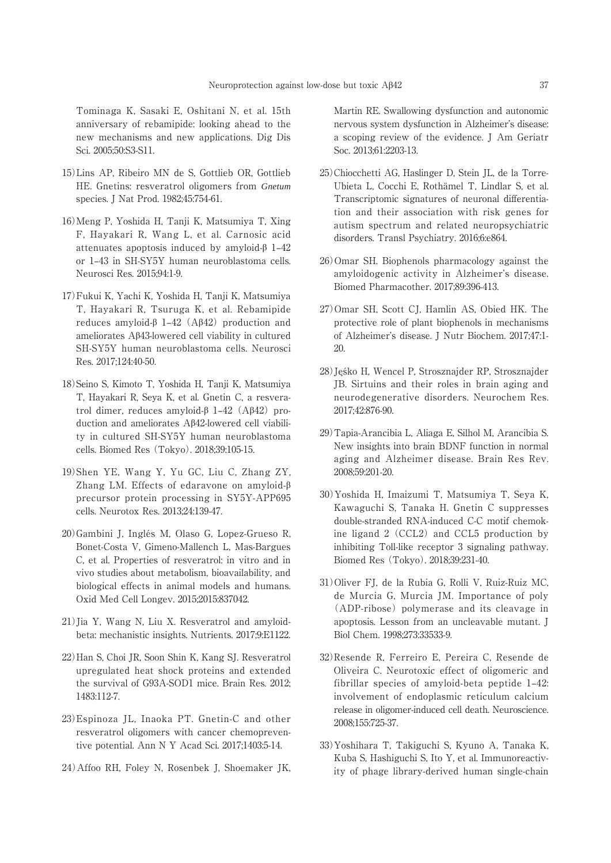Tominaga K, Sasaki E, Oshitani N, et al. 15th anniversary of rebamipide: looking ahead to the new mechanisms and new applications. Dig Dis Sci. 2005;50:S3-S11.

- 15)Lins AP, Ribeiro MN de S, Gottlieb OR, Gottlieb HE. Gnetins: resveratrol oligomers from *Gnetum* species. J Nat Prod. 1982;45:754-61.
- 16)Meng P, Yoshida H, Tanji K, Matsumiya T, Xing F, Hayakari R, Wang L, et al. Carnosic acid attenuates apoptosis induced by amyloid- $\beta$  1–42 or 1‒43 in SH-SY5Y human neuroblastoma cells. Neurosci Res. 2015;94:1-9.
- 17)Fukui K, Yachi K, Yoshida H, Tanji K, Matsumiya T, Hayakari R, Tsuruga K, et al. Rebamipide reduces amyloid- $\beta$  1–42 (A $\beta$ 42) production and ameliorates  $A\beta43$ -lowered cell viability in cultured SH-SY5Y human neuroblastoma cells. Neurosci Res. 2017;124:40-50.
- 18)Seino S, Kimoto T, Yoshida H, Tanji K, Matsumiya T, Hayakari R, Seya K, et al. Gnetin C, a resveratrol dimer, reduces amyloid- $\beta$  1–42 (A $\beta$ 42) production and ameliorates Aβ42-lowered cell viability in cultured SH-SY5Y human neuroblastoma cells. Biomed Res (Tokyo). 2018;39:105-15.
- 19)Shen YE, Wang Y, Yu GC, Liu C, Zhang ZY, Zhang LM. Effects of edaravone on amyloid- $\beta$ precursor protein processing in SY5Y-APP695 cells. Neurotox Res. 2013;24:139-47.
- 20)Gambini J, Inglés M, Olaso G, Lopez-Grueso R, Bonet-Costa V, Gimeno-Mallench L, Mas-Bargues C, et al. Properties of resveratrol: in vitro and in vivo studies about metabolism, bioavailability, and biological effects in animal models and humans. Oxid Med Cell Longev. 2015;2015:837042.
- 21)Jia Y, Wang N, Liu X. Resveratrol and amyloidbeta: mechanistic insights. Nutrients. 2017;9:E1122.
- 22)Han S, Choi JR, Soon Shin K, Kang SJ. Resveratrol upregulated heat shock proteins and extended the survival of G93A-SOD1 mice. Brain Res. 2012; 1483:112-7.
- 23)Espinoza JL, Inaoka PT. Gnetin-C and other resveratrol oligomers with cancer chemopreventive potential. Ann N Y Acad Sci. 2017;1403:5-14.
- 24)Affoo RH, Foley N, Rosenbek J, Shoemaker JK,

Martin RE. Swallowing dysfunction and autonomic nervous system dysfunction in Alzheimer's disease: a scoping review of the evidence. J Am Geriatr Soc. 2013;61:2203-13.

- 25)Chiocchetti AG, Haslinger D, Stein JL, de la Torre-Ubieta L, Cocchi E, Rothämel T, Lindlar S, et al. Transcriptomic signatures of neuronal differentiation and their association with risk genes for autism spectrum and related neuropsychiatric disorders. Transl Psychiatry. 2016;6:e864.
- 26)Omar SH. Biophenols pharmacology against the amyloidogenic activity in Alzheimer's disease. Biomed Pharmacother. 2017;89:396-413.
- 27)Omar SH, Scott CJ, Hamlin AS, Obied HK. The protective role of plant biophenols in mechanisms of Alzheimer's disease. J Nutr Biochem. 2017;47:1- 20.
- 28) Jeśko H, Wencel P, Strosznajder RP, Strosznajder JB. Sirtuins and their roles in brain aging and neurodegenerative disorders. Neurochem Res. 2017;42:876-90.
- 29)Tapia-Arancibia L, Aliaga E, Silhol M, Arancibia S. New insights into brain BDNF function in normal aging and Alzheimer disease. Brain Res Rev. 2008;59:201-20.
- 30)Yoshida H, Imaizumi T, Matsumiya T, Seya K, Kawaguchi S, Tanaka H. Gnetin C suppresses double-stranded RNA-induced C-C motif chemokine ligand 2 (CCL2) and CCL5 production by inhibiting Toll-like receptor 3 signaling pathway. Biomed Res (Tokyo). 2018;39:231-40.
- 31)Oliver FJ, de la Rubia G, Rolli V, Ruiz-Ruiz MC, de Murcia G, Murcia JM. Importance of poly (ADP-ribose) polymerase and its cleavage in apoptosis. Lesson from an uncleavable mutant. J Biol Chem. 1998;273:33533-9.
- 32)Resende R, Ferreiro E, Pereira C, Resende de Oliveira C. Neurotoxic effect of oligomeric and fibrillar species of amyloid-beta peptide  $1-42$ : involvement of endoplasmic reticulum calcium release in oligomer-induced cell death. Neuroscience. 2008;155:725-37.
- 33)Yoshihara T, Takiguchi S, Kyuno A, Tanaka K, Kuba S, Hashiguchi S, Ito Y, et al. Immunoreactivity of phage library-derived human single-chain